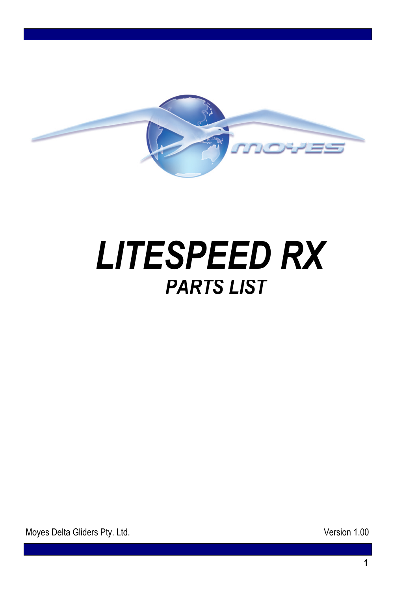

## *LITESPEED RX PARTS LIST*

Moyes Delta Gliders Pty. Ltd. **Version 1.00**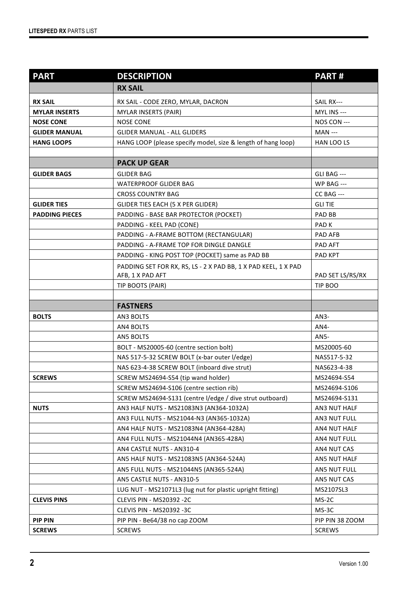| <b>PART</b>           | <b>DESCRIPTION</b>                                             | <b>PART#</b>      |
|-----------------------|----------------------------------------------------------------|-------------------|
|                       | <b>RX SAIL</b>                                                 |                   |
| <b>RX SAIL</b>        | RX SAIL - CODE ZERO, MYLAR, DACRON                             | SAIL RX---        |
| <b>MYLAR INSERTS</b>  | <b>MYLAR INSERTS (PAIR)</b>                                    | MYL INS ---       |
| <b>NOSE CONE</b>      | <b>NOSE CONE</b>                                               | NOS CON ---       |
| <b>GLIDER MANUAL</b>  | <b>GLIDER MANUAL - ALL GLIDERS</b>                             | <b>MAN</b> ---    |
| <b>HANG LOOPS</b>     | HANG LOOP (please specify model, size & length of hang loop)   | HAN LOO LS        |
|                       |                                                                |                   |
|                       | <b>PACK UP GEAR</b>                                            |                   |
| <b>GLIDER BAGS</b>    | <b>GLIDER BAG</b>                                              | GLI BAG ---       |
|                       | <b>WATERPROOF GLIDER BAG</b>                                   | <b>WP BAG ---</b> |
|                       | <b>CROSS COUNTRY BAG</b>                                       | CC BAG ---        |
| <b>GLIDER TIES</b>    | GLIDER TIES EACH (5 X PER GLIDER)                              | GLI TIE           |
| <b>PADDING PIECES</b> | PADDING - BASE BAR PROTECTOR (POCKET)                          | PAD BB            |
|                       | PADDING - KEEL PAD (CONE)                                      | PAD <sub>K</sub>  |
|                       | PADDING - A-FRAME BOTTOM (RECTANGULAR)                         | PAD AFB           |
|                       | PADDING - A-FRAME TOP FOR DINGLE DANGLE                        | PAD AFT           |
|                       | PADDING - KING POST TOP (POCKET) same as PAD BB                | PAD KPT           |
|                       | PADDING SET FOR RX, RS, LS - 2 X PAD BB, 1 X PAD KEEL, 1 X PAD |                   |
|                       | AFB, 1 X PAD AFT                                               | PAD SET LS/RS/RX  |
|                       | TIP BOOTS (PAIR)                                               | TIP BOO           |
|                       | <b>FASTNERS</b>                                                |                   |
| <b>BOLTS</b>          | AN3 BOLTS                                                      | $AN3-$            |
|                       | AN4 BOLTS                                                      | AN4-              |
|                       | <b>AN5 BOLTS</b>                                               | AN5-              |
|                       | BOLT - MS20005-60 (centre section bolt)                        | MS20005-60        |
|                       | NAS 517-5-32 SCREW BOLT (x-bar outer l/edge)                   | NAS517-5-32       |
|                       | NAS 623-4-38 SCREW BOLT (inboard dive strut)                   | NAS623-4-38       |
| <b>SCREWS</b>         | SCREW MS24694-S54 (tip wand holder)                            | MS24694-S54       |
|                       | SCREW MS24694-S106 (centre section rib)                        | MS24694-S106      |
|                       | SCREW MS24694-S131 (centre I/edge / dive strut outboard)       | MS24694-S131      |
| <b>NUTS</b>           | AN3 HALF NUTS - MS21083N3 (AN364-1032A)                        | AN3 NUT HALF      |
|                       | AN3 FULL NUTS - MS21044-N3 (AN365-1032A)                       | AN3 NUT FULL      |
|                       | AN4 HALF NUTS - MS21083N4 (AN364-428A)                         | AN4 NUT HALF      |
|                       | AN4 FULL NUTS - MS21044N4 (AN365-428A)                         | AN4 NUT FULL      |
|                       | AN4 CASTLE NUTS - AN310-4                                      | AN4 NUT CAS       |
|                       | AN5 HALF NUTS - MS21083N5 (AN364-524A)                         | AN5 NUT HALF      |
|                       | AN5 FULL NUTS - MS21044N5 (AN365-524A)                         | AN5 NUT FULL      |
|                       | AN5 CASTLE NUTS - AN310-5                                      | AN5 NUT CAS       |
|                       | LUG NUT - MS21071L3 (lug nut for plastic upright fitting)      | MS2107SL3         |
| <b>CLEVIS PINS</b>    | <b>CLEVIS PIN - MS20392 -2C</b>                                | MS-2C             |
|                       | <b>CLEVIS PIN - MS20392 -3C</b>                                | MS-3C             |
| <b>PIP PIN</b>        | PIP PIN - Be64/38 no cap ZOOM                                  | PIP PIN 38 ZOOM   |
| <b>SCREWS</b>         | <b>SCREWS</b>                                                  | <b>SCREWS</b>     |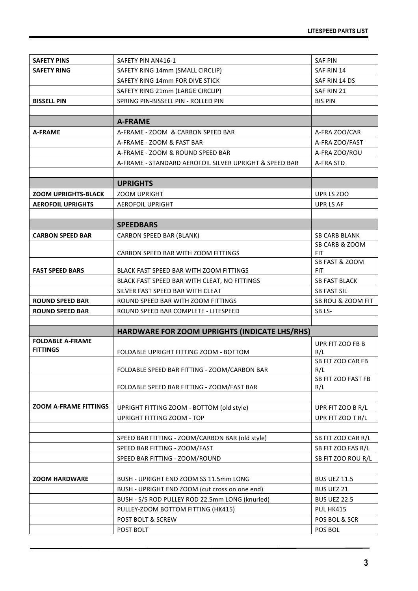| <b>SAFETY PINS</b>                         | SAFETY PIN AN416-1                                     | <b>SAF PIN</b>           |
|--------------------------------------------|--------------------------------------------------------|--------------------------|
| <b>SAFETY RING</b>                         | SAFETY RING 14mm (SMALL CIRCLIP)                       | SAF RIN 14               |
|                                            | SAFETY RING 14mm FOR DIVE STICK                        | SAF RIN 14 DS            |
|                                            | SAFETY RING 21mm (LARGE CIRCLIP)                       | SAF RIN 21               |
| <b>BISSELL PIN</b>                         | SPRING PIN-BISSELL PIN - ROLLED PIN                    | <b>BIS PIN</b>           |
|                                            |                                                        |                          |
|                                            | <b>A-FRAME</b>                                         |                          |
| <b>A-FRAME</b>                             | A-FRAME - ZOOM & CARBON SPEED BAR                      | A-FRA ZOO/CAR            |
|                                            | A-FRAME - ZOOM & FAST BAR                              | A-FRA ZOO/FAST           |
|                                            | A-FRAME - ZOOM & ROUND SPEED BAR                       | A-FRA ZOO/ROU            |
|                                            | A-FRAME - STANDARD AEROFOIL SILVER UPRIGHT & SPEED BAR | A-FRA STD                |
|                                            |                                                        |                          |
|                                            | <b>UPRIGHTS</b>                                        |                          |
| <b>ZOOM UPRIGHTS-BLACK</b>                 | <b>ZOOM UPRIGHT</b>                                    | UPR LS ZOO               |
| <b>AEROFOIL UPRIGHTS</b>                   | <b>AEROFOIL UPRIGHT</b>                                | UPR LS AF                |
|                                            |                                                        |                          |
|                                            | <b>SPEEDBARS</b>                                       |                          |
| <b>CARBON SPEED BAR</b>                    | CARBON SPEED BAR (BLANK)                               | <b>SB CARB BLANK</b>     |
|                                            |                                                        | SB CARB & ZOOM           |
|                                            | CARBON SPEED BAR WITH ZOOM FITTINGS                    | <b>FIT</b>               |
|                                            |                                                        | SB FAST & ZOOM           |
| <b>FAST SPEED BARS</b>                     | BLACK FAST SPEED BAR WITH ZOOM FITTINGS                | <b>FIT</b>               |
|                                            | BLACK FAST SPEED BAR WITH CLEAT, NO FITTINGS           | <b>SB FAST BLACK</b>     |
|                                            | SILVER FAST SPEED BAR WITH CLEAT                       | <b>SB FAST SIL</b>       |
| <b>ROUND SPEED BAR</b>                     | ROUND SPEED BAR WITH ZOOM FITTINGS                     | SB ROU & ZOOM FIT        |
| <b>ROUND SPEED BAR</b>                     | ROUND SPEED BAR COMPLETE - LITESPEED                   | SB <sub>LS</sub> -       |
|                                            |                                                        |                          |
|                                            | HARDWARE FOR ZOOM UPRIGHTS (INDICATE LHS/RHS)          |                          |
| <b>FOLDABLE A-FRAME</b><br><b>FITTINGS</b> |                                                        | UPR FIT ZOO FB B         |
|                                            | FOLDABLE UPRIGHT FITTING ZOOM - BOTTOM                 | R/L<br>SB FIT ZOO CAR FB |
|                                            | FOLDABLE SPEED BAR FITTING - ZOOM/CARBON BAR           | R/L                      |
|                                            |                                                        | SB FIT ZOO FAST FB       |
|                                            | FOLDABLE SPEED BAR FITTING - ZOOM/FAST BAR             | R/L                      |
|                                            |                                                        |                          |
| <b>ZOOM A-FRAME FITTINGS</b>               | UPRIGHT FITTING ZOOM - BOTTOM (old style)              | UPR FIT ZOO B R/L        |
|                                            | <b>UPRIGHT FITTING ZOOM - TOP</b>                      | UPR FIT ZOO T R/L        |
|                                            |                                                        |                          |
|                                            | SPEED BAR FITTING - ZOOM/CARBON BAR (old style)        | SB FIT ZOO CAR R/L       |
|                                            | SPEED BAR FITTING - ZOOM/FAST                          | SB FIT ZOO FAS R/L       |
|                                            | SPEED BAR FITTING - ZOOM/ROUND                         | SB FIT ZOO ROU R/L       |
|                                            |                                                        |                          |
| <b>ZOOM HARDWARE</b>                       | BUSH - UPRIGHT END ZOOM SS 11.5mm LONG                 | <b>BUS UEZ 11.5</b>      |
|                                            | BUSH - UPRIGHT END ZOOM (cut cross on one end)         | BUS UEZ 21               |
|                                            | BUSH - S/S ROD PULLEY ROD 22.5mm LONG (knurled)        | <b>BUS UEZ 22.5</b>      |
|                                            | PULLEY-ZOOM BOTTOM FITTING (HK415)                     | PUL HK415                |
|                                            | POST BOLT & SCREW                                      | POS BOL & SCR            |
|                                            | POST BOLT                                              | POS BOL                  |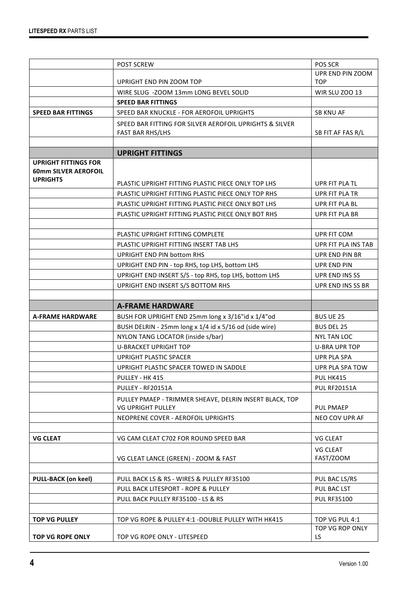|                                                            | POST SCREW                                                                          | POS SCR                      |
|------------------------------------------------------------|-------------------------------------------------------------------------------------|------------------------------|
|                                                            |                                                                                     | UPR END PIN ZOOM             |
|                                                            | UPRIGHT END PIN ZOOM TOP                                                            | <b>TOP</b>                   |
|                                                            | WIRE SLUG - ZOOM 13mm LONG BEVEL SOLID                                              | <b>WIR SLU ZOO 13</b>        |
|                                                            | <b>SPEED BAR FITTINGS</b>                                                           |                              |
| <b>SPEED BAR FITTINGS</b>                                  | SPEED BAR KNUCKLE - FOR AEROFOIL UPRIGHTS                                           | <b>SB KNU AF</b>             |
|                                                            | SPEED BAR FITTING FOR SILVER AEROFOIL UPRIGHTS & SILVER                             |                              |
|                                                            | <b>FAST BAR RHS/LHS</b>                                                             | SB FIT AF FAS R/L            |
|                                                            |                                                                                     |                              |
|                                                            | <b>UPRIGHT FITTINGS</b>                                                             |                              |
| <b>UPRIGHT FITTINGS FOR</b><br><b>60mm SILVER AEROFOIL</b> |                                                                                     |                              |
| <b>UPRIGHTS</b>                                            | PLASTIC UPRIGHT FITTING PLASTIC PIECE ONLY TOP LHS                                  | UPR FIT PLA TL               |
|                                                            | PLASTIC UPRIGHT FITTING PLASTIC PIECE ONLY TOP RHS                                  | UPR FIT PLA TR               |
|                                                            | PLASTIC UPRIGHT FITTING PLASTIC PIECE ONLY BOT LHS                                  | UPR FIT PLA BL               |
|                                                            | PLASTIC UPRIGHT FITTING PLASTIC PIECE ONLY BOT RHS                                  | UPR FIT PLA BR               |
|                                                            |                                                                                     |                              |
|                                                            | PLASTIC UPRIGHT FITTING COMPLETE                                                    | UPR FIT COM                  |
|                                                            | PLASTIC UPRIGHT FITTING INSERT TAB LHS                                              | UPR FIT PLA INS TAB          |
|                                                            | UPRIGHT END PIN bottom RHS                                                          | UPR END PIN BR               |
|                                                            | UPRIGHT END PIN - top RHS, top LHS, bottom LHS                                      | UPR END PIN                  |
|                                                            | UPRIGHT END INSERT S/S - top RHS, top LHS, bottom LHS                               | UPR END INS SS               |
|                                                            | UPRIGHT END INSERT S/S BOTTOM RHS                                                   | UPR END INS SS BR            |
|                                                            |                                                                                     |                              |
|                                                            |                                                                                     |                              |
|                                                            | <b>A-FRAME HARDWARE</b>                                                             |                              |
| <b>A-FRAME HARDWARE</b>                                    | BUSH FOR UPRIGHT END 25mm long x 3/16"id x 1/4"od                                   | <b>BUS UE 25</b>             |
|                                                            | BUSH DELRIN - 25mm long x 1/4 id x 5/16 od (side wire)                              | <b>BUS DEL 25</b>            |
|                                                            | NYLON TANG LOCATOR (inside s/bar)                                                   | <b>NYL TAN LOC</b>           |
|                                                            | <b>U-BRACKET UPRIGHT TOP</b>                                                        | <b>U-BRA UPR TOP</b>         |
|                                                            | UPRIGHT PLASTIC SPACER                                                              | <b>UPR PLA SPA</b>           |
|                                                            | UPRIGHT PLASTIC SPACER TOWED IN SADDLE                                              | UPR PLA SPA TOW              |
|                                                            | PULLEY - HK 415                                                                     | PUL HK415                    |
|                                                            | PULLEY - RF20151A                                                                   | <b>PUL RF20151A</b>          |
|                                                            | PULLEY PMAEP - TRIMMER SHEAVE, DELRIN INSERT BLACK, TOP<br><b>VG UPRIGHT PULLEY</b> | <b>PUL PMAEP</b>             |
|                                                            |                                                                                     |                              |
|                                                            | NEOPRENE COVER - AEROFOIL UPRIGHTS                                                  | NEO COV UPR AF               |
| <b>VG CLEAT</b>                                            | VG CAM CLEAT C702 FOR ROUND SPEED BAR                                               | <b>VG CLEAT</b>              |
|                                                            | VG CLEAT LANCE (GREEN) - ZOOM & FAST                                                | <b>VG CLEAT</b><br>FAST/ZOOM |
|                                                            |                                                                                     |                              |
| <b>PULL-BACK (on keel)</b>                                 | PULL BACK LS & RS - WIRES & PULLEY RF35100                                          | PUL BAC LS/RS                |
|                                                            | PULL BACK LITESPORT - ROPE & PULLEY                                                 | PUL BAC LST                  |
|                                                            | PULL BACK PULLEY RF35100 - LS & RS                                                  | <b>PUL RF35100</b>           |
|                                                            |                                                                                     |                              |
| <b>TOP VG PULLEY</b>                                       | TOP VG ROPE & PULLEY 4:1 -DOUBLE PULLEY WITH HK415                                  | TOP VG PUL 4:1               |
| <b>TOP VG ROPE ONLY</b>                                    | TOP VG ROPE ONLY - LITESPEED                                                        | TOP VG ROP ONLY<br>LS        |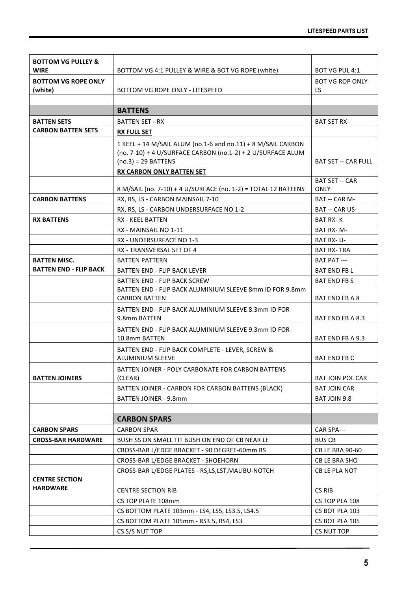| <b>BOTTOM VG PULLEY &amp;</b>            |                                                                                  |                              |
|------------------------------------------|----------------------------------------------------------------------------------|------------------------------|
| <b>WIRE</b>                              | BOTTOM VG 4:1 PULLEY & WIRE & BOT VG ROPE (white)                                | BOT VG PUL 4:1               |
| <b>BOTTOM VG ROPE ONLY</b><br>(white)    | BOTTOM VG ROPE ONLY - LITESPEED                                                  | <b>BOT VG ROP ONLY</b><br>LS |
|                                          |                                                                                  |                              |
|                                          | <b>BATTENS</b>                                                                   |                              |
| <b>BATTEN SETS</b>                       | <b>BATTEN SET - RX</b>                                                           | <b>BAT SET RX-</b>           |
| <b>CARBON BATTEN SETS</b>                | <b>RX FULL SET</b>                                                               |                              |
|                                          | 1 KEEL + 14 M/SAIL ALUM (no.1-6 and no.11) + 8 M/SAIL CARBON                     |                              |
|                                          | (no. 7-10) + 4 U/SURFACE CARBON (no.1-2) + 2 U/SURFACE ALUM                      |                              |
|                                          | $(no.3) = 29$ BATTENS                                                            | <b>BAT SET -- CAR FULL</b>   |
|                                          | <b>RX CARBON ONLY BATTEN SET</b>                                                 |                              |
|                                          |                                                                                  | <b>BAT SET -- CAR</b>        |
|                                          | 8 M/SAIL (no. 7-10) + 4 U/SURFACE (no. 1-2) = TOTAL 12 BATTENS                   | <b>ONLY</b>                  |
| <b>CARBON BATTENS</b>                    | RX, RS, LS - CARBON MAINSAIL 7-10                                                | BAT -- CAR M-                |
|                                          | RX, RS, LS - CARBON UNDERSURFACE NO 1-2                                          | BAT -- CAR US-               |
| <b>RX BATTENS</b>                        | RX - KEEL BATTEN                                                                 | <b>BAT RX-K</b>              |
|                                          | RX - MAINSAIL NO 1-11                                                            | BAT RX-M-                    |
|                                          | RX - UNDERSURFACE NO 1-3                                                         | BAT RX-U-                    |
|                                          | RX - TRANSVERSAL SET OF 4                                                        | <b>BAT RX-TRA</b>            |
| <b>BATTEN MISC.</b>                      | <b>BATTEN PATTERN</b>                                                            | BAT PAT ---                  |
| <b>BATTEN END - FLIP BACK</b>            | <b>BATTEN END - FLIP BACK LEVER</b>                                              | <b>BAT END FB L</b>          |
|                                          | BATTEN END - FLIP BACK SCREW                                                     | <b>BAT END FB S</b>          |
|                                          | BATTEN END - FLIP BACK ALUMINIUM SLEEVE 8mm ID FOR 9.8mm<br><b>CARBON BATTEN</b> | BAT END FB A 8               |
|                                          | BATTEN END - FLIP BACK ALUMINIUM SLEEVE 8.3mm ID FOR                             |                              |
|                                          | 9.8mm BATTEN                                                                     | BAT END FB A 8.3             |
|                                          | BATTEN END - FLIP BACK ALUMINIUM SLEEVE 9.3mm ID FOR                             |                              |
|                                          | 10.8mm BATTEN                                                                    | BAT END FB A 9.3             |
|                                          | BATTEN END - FLIP BACK COMPLETE - LEVER, SCREW &<br><b>ALUMINIUM SLEEVE</b>      | <b>BAT END FB C</b>          |
|                                          | BATTEN JOINER - POLY CARBONATE FOR CARBON BATTENS                                |                              |
| <b>BATTEN JOINERS</b>                    | (CLEAR)                                                                          | <b>BAT JOIN POL CAR</b>      |
|                                          | BATTEN JOINER - CARBON FOR CARBON BATTENS (BLACK)                                | <b>BAT JOIN CAR</b>          |
|                                          | <b>BATTEN JOINER - 9.8mm</b>                                                     | BAT JOIN 9.8                 |
|                                          |                                                                                  |                              |
|                                          | <b>CARBON SPARS</b>                                                              |                              |
| <b>CARBON SPARS</b>                      | <b>CARBON SPAR</b>                                                               | CAR SPA---                   |
| <b>CROSS-BAR HARDWARE</b>                | BUSH SS ON SMALL TIT BUSH ON END OF CB NEAR LE                                   | <b>BUS CB</b>                |
|                                          | CROSS-BAR L/EDGE BRACKET - 90 DEGREE-60mm RS                                     | <b>CB LE BRA 90-60</b>       |
|                                          | CROSS-BAR L/EDGE BRACKET - SHOEHORN                                              | CB LE BRA SHO                |
|                                          | CROSS-BAR L/EDGE PLATES - RS,LS,LST,MALIBU-NOTCH                                 | CB LE PLA NOT                |
| <b>CENTRE SECTION</b><br><b>HARDWARE</b> |                                                                                  |                              |
|                                          | <b>CENTRE SECTION RIB</b>                                                        | CS RIB                       |
|                                          | CS TOP PLATE 108mm                                                               | CS TOP PLA 108               |
|                                          | CS BOTTOM PLATE 103mm - LS4, LS5, LS3.5, LS4.5                                   | CS BOT PLA 103               |
|                                          | CS BOTTOM PLATE 105mm - RS3.5, RS4, LS3                                          | CS BOT PLA 105               |
|                                          | CS S/S NUT TOP                                                                   | CS NUT TOP                   |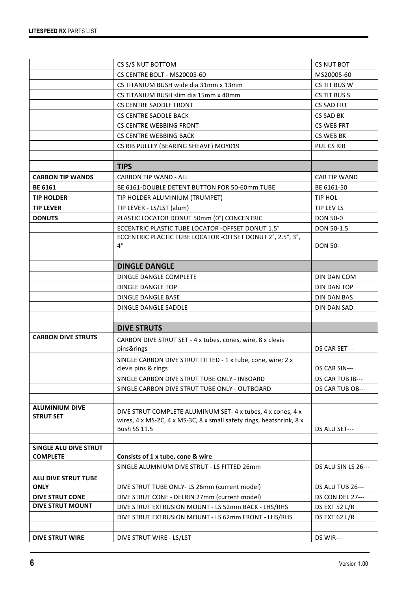|                                    | CS S/S NUT BOTTOM                                                                  | CS NUT BOT              |
|------------------------------------|------------------------------------------------------------------------------------|-------------------------|
|                                    | CS CENTRE BOLT - MS20005-60                                                        | MS20005-60              |
|                                    | CS TITANIUM BUSH wide dia 31mm x 13mm                                              | CS TIT BUS W            |
|                                    | CS TITANIUM BUSH slim dia 15mm x 40mm                                              | CS TIT BUS S            |
|                                    | <b>CS CENTRE SADDLE FRONT</b>                                                      | <b>CS SAD FRT</b>       |
|                                    | <b>CS CENTRE SADDLE BACK</b>                                                       | CS SAD BK               |
|                                    | <b>CS CENTRE WEBBING FRONT</b>                                                     | CS WEB FRT              |
|                                    | <b>CS CENTRE WEBBING BACK</b>                                                      | CS WEB BK               |
|                                    | CS RIB PULLEY (BEARING SHEAVE) MOY019                                              | PUL CS RIB              |
|                                    |                                                                                    |                         |
|                                    | <b>TIPS</b>                                                                        |                         |
| <b>CARBON TIP WANDS</b>            | <b>CARBON TIP WAND - ALL</b>                                                       | CAR TIP WAND            |
| <b>BE 6161</b>                     | BE 6161-DOUBLE DETENT BUTTON FOR 50-60mm TUBE                                      | BE 6161-50              |
| <b>TIP HOLDER</b>                  | TIP HOLDER ALUMINIUM (TRUMPET)                                                     | TIP HOL                 |
| <b>TIP LEVER</b>                   | TIP LEVER - LS/LST (alum)                                                          | TIP LEV LS              |
| <b>DONUTS</b>                      | PLASTIC LOCATOR DONUT 50mm (0°) CONCENTRIC                                         | <b>DON 50-0</b>         |
|                                    | ECCENTRIC PLASTIC TUBE LOCATOR - OFFSET DONUT 1.5°                                 | DON 50-1.5              |
|                                    | ECCENTRIC PLACTIC TUBE LOCATOR -OFFSET DONUT 2°, 2.5°, 3°,                         |                         |
|                                    | $4^{\circ}$                                                                        | <b>DON 50-</b>          |
|                                    | <b>DINGLE DANGLE</b>                                                               |                         |
|                                    | DINGLE DANGLE COMPLETE                                                             | DIN DAN COM             |
|                                    | DINGLE DANGLE TOP                                                                  | DIN DAN TOP             |
|                                    | DINGLE DANGLE BASE                                                                 | DIN DAN BAS             |
|                                    | DINGLE DANGLE SADDLE                                                               | DIN DAN SAD             |
|                                    |                                                                                    |                         |
|                                    | <b>DIVE STRUTS</b>                                                                 |                         |
| <b>CARBON DIVE STRUTS</b>          | CARBON DIVE STRUT SET - 4 x tubes, cones, wire, 8 x clevis                         |                         |
|                                    | pins&rings                                                                         | DS CAR SET---           |
|                                    | SINGLE CARBON DIVE STRUT FITTED - 1 x tube, cone, wire; 2 x<br>clevis pins & rings | DS CAR SIN---           |
|                                    | SINGLE CARBON DIVE STRUT TUBE ONLY - INBOARD                                       | DS CAR TUB IB---        |
|                                    | SINGLE CARBON DIVE STRUT TUBE ONLY - OUTBOARD                                      | DS CAR TUB OB---        |
|                                    |                                                                                    |                         |
| <b>ALUMINIUM DIVE</b>              | DIVE STRUT COMPLETE ALUMINUM SET-4 x tubes, 4 x cones, 4 x                         |                         |
| <b>STRUT SET</b>                   | wires, 4 x MS-2C, 4 x MS-3C, 8 x small safety rings, heatshrink, 8 x               |                         |
|                                    | <b>Bush SS 11.5</b>                                                                | DS ALU SET---           |
|                                    |                                                                                    |                         |
| SINGLE ALU DIVE STRUT              |                                                                                    |                         |
| <b>COMPLETE</b>                    | Consists of 1 x tube, cone & wire<br>SINGLE ALUMNIUM DIVE STRUT - LS FITTED 26mm   | DS ALU SIN LS 26---     |
|                                    |                                                                                    |                         |
| ALU DIVE STRUT TUBE<br><b>ONLY</b> | DIVE STRUT TUBE ONLY- LS 26mm (current model)                                      | <b>DS ALU TUB 26---</b> |
| <b>DIVE STRUT CONE</b>             | DIVE STRUT CONE - DELRIN 27mm (current model)                                      | <b>DS CON DEL 27---</b> |
| <b>DIVE STRUT MOUNT</b>            | DIVE STRUT EXTRUSION MOUNT - LS 52mm BACK - LHS/RHS                                | DS EXT 52 L/R           |
|                                    | DIVE STRUT EXTRUSION MOUNT - LS 62mm FRONT - LHS/RHS                               | DS EXT 62 L/R           |
|                                    |                                                                                    |                         |
| <b>DIVE STRUT WIRE</b>             | DIVE STRUT WIRE - LS/LST                                                           | DS WIR---               |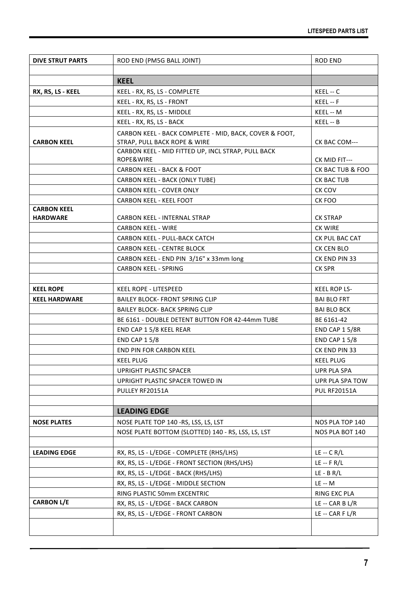| <b>DIVE STRUT PARTS</b>               | ROD END (PM5G BALL JOINT)                              | <b>ROD END</b>        |
|---------------------------------------|--------------------------------------------------------|-----------------------|
|                                       |                                                        |                       |
|                                       | <b>KEEL</b>                                            |                       |
| RX, RS, LS - KEEL                     | KEEL - RX, RS, LS - COMPLETE                           | KEEL -- C             |
|                                       | KEEL - RX, RS, LS - FRONT                              | KEEL -- F             |
|                                       | KEEL - RX, RS, LS - MIDDLE                             | KEEL -- M             |
|                                       | KEEL - RX, RS, LS - BACK                               | KEEL -- B             |
|                                       | CARBON KEEL - BACK COMPLETE - MID, BACK, COVER & FOOT, |                       |
| <b>CARBON KEEL</b>                    | STRAP, PULL BACK ROPE & WIRE                           | CK BAC COM---         |
|                                       | CARBON KEEL - MID FITTED UP, INCL STRAP, PULL BACK     |                       |
|                                       | ROPE&WIRE                                              | CK MID FIT---         |
|                                       | <b>CARBON KEEL - BACK &amp; FOOT</b>                   | CK BAC TUB & FOO      |
|                                       | CARBON KEEL - BACK (ONLY TUBE)                         | CK BAC TUB            |
|                                       | <b>CARBON KEEL - COVER ONLY</b>                        | CK COV                |
|                                       | CARBON KEEL - KEEL FOOT                                | CK FOO                |
| <b>CARBON KEEL</b><br><b>HARDWARE</b> | <b>CARBON KEEL - INTERNAL STRAP</b>                    | <b>CK STRAP</b>       |
|                                       | <b>CARBON KEEL - WIRE</b>                              | <b>CK WIRE</b>        |
|                                       | <b>CARBON KEEL - PULL-BACK CATCH</b>                   | CK PUL BAC CAT        |
|                                       | <b>CARBON KEEL - CENTRE BLOCK</b>                      | CK CEN BLO            |
|                                       | CARBON KEEL - END PIN 3/16" x 33mm long                | CK END PIN 33         |
|                                       | <b>CARBON KEEL - SPRING</b>                            | <b>CK SPR</b>         |
|                                       |                                                        |                       |
| <b>KEEL ROPE</b>                      | <b>KEEL ROPE - LITESPEED</b>                           | <b>KEEL ROP LS-</b>   |
| <b>KEEL HARDWARE</b>                  | <b>BAILEY BLOCK- FRONT SPRING CLIP</b>                 | <b>BAI BLO FRT</b>    |
|                                       | <b>BAILEY BLOCK- BACK SPRING CLIP</b>                  | <b>BAI BLO BCK</b>    |
|                                       | BE 6161 - DOUBLE DETENT BUTTON FOR 42-44mm TUBE        | BE 6161-42            |
|                                       | END CAP 1 5/8 KEEL REAR                                | <b>END CAP 1 5/8R</b> |
|                                       | <b>END CAP 1 5/8</b>                                   | <b>END CAP 1 5/8</b>  |
|                                       | END PIN FOR CARBON KEEL                                | CK END PIN 33         |
|                                       | <b>KEEL PLUG</b>                                       | <b>KEEL PLUG</b>      |
|                                       | <b>UPRIGHT PLASTIC SPACER</b>                          | <b>UPR PLA SPA</b>    |
|                                       | UPRIGHT PLASTIC SPACER TOWED IN                        | UPR PLA SPA TOW       |
|                                       | PULLEY RF20151A                                        | <b>PUL RF20151A</b>   |
|                                       |                                                        |                       |
|                                       | <b>LEADING EDGE</b>                                    |                       |
| <b>NOSE PLATES</b>                    | NOSE PLATE TOP 140 -RS, LSS, LS, LST                   | NOS PLA TOP 140       |
|                                       | NOSE PLATE BOTTOM (SLOTTED) 140 - RS, LSS, LS, LST     | NOS PLA BOT 140       |
|                                       |                                                        |                       |
| <b>LEADING EDGE</b>                   | RX, RS, LS - L/EDGE - COMPLETE (RHS/LHS)               | $LE - C R/L$          |
|                                       | RX, RS, LS - L/EDGE - FRONT SECTION (RHS/LHS)          | $LE - F R/L$          |
|                                       | RX, RS, LS - L/EDGE - BACK (RHS/LHS)                   | $LE - B R/L$          |
|                                       | RX, RS, LS - L/EDGE - MIDDLE SECTION                   | <b>LE -- M</b>        |
|                                       | RING PLASTIC 50mm EXCENTRIC                            | RING EXC PLA          |
| <b>CARBON L/E</b>                     | RX, RS, LS - L/EDGE - BACK CARBON                      | $LE - CAR B L/R$      |
|                                       | RX, RS, LS - L/EDGE - FRONT CARBON                     | $LE - CAR F L/R$      |
|                                       |                                                        |                       |
|                                       |                                                        |                       |